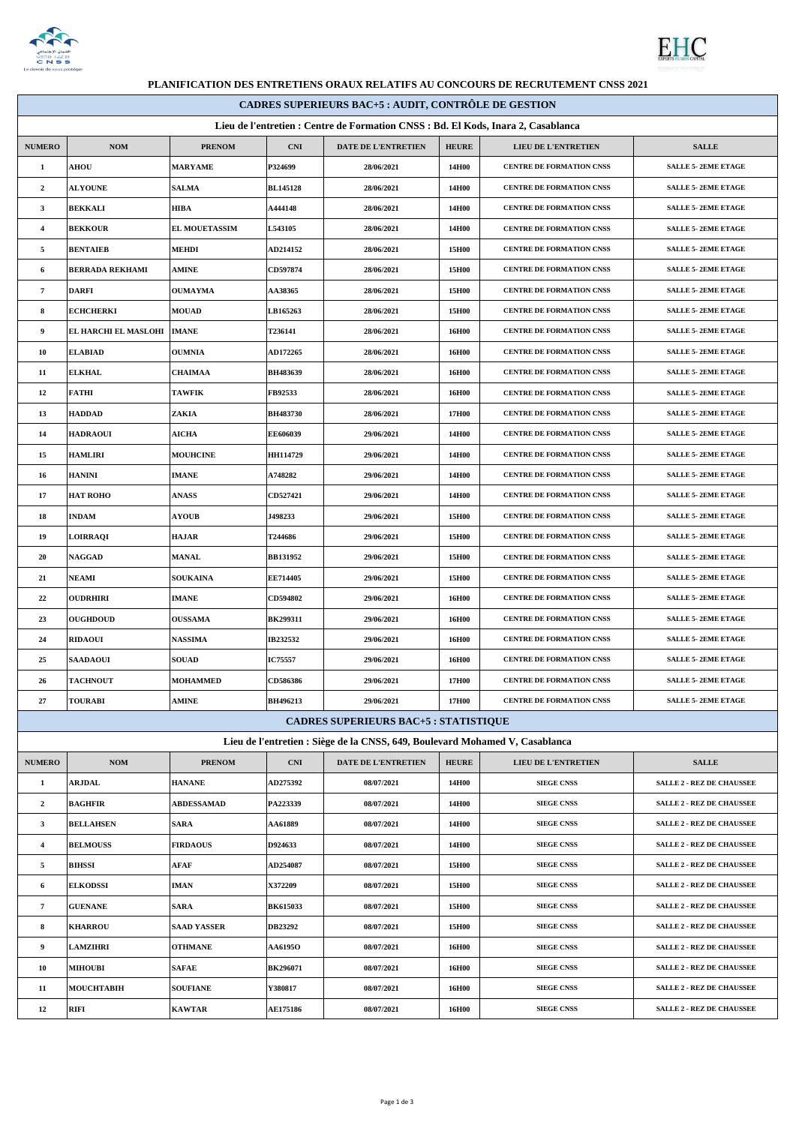



 $\overline{\phantom{0}}$ 

## **PLANIFICATION DES ENTRETIENS ORAUX RELATIFS AU CONCOURS DE RECRUTEMENT CNSS 2021**

| <b>CADRES SUPERIEURS BAC+5 : AUDIT, CONTRÔLE DE GESTION</b>                       |                        |                      |                 |                                                                              |              |                                 |                                  |  |
|-----------------------------------------------------------------------------------|------------------------|----------------------|-----------------|------------------------------------------------------------------------------|--------------|---------------------------------|----------------------------------|--|
| Lieu de l'entretien : Centre de Formation CNSS : Bd. El Kods, Inara 2, Casablanca |                        |                      |                 |                                                                              |              |                                 |                                  |  |
| <b>NUMERO</b>                                                                     | <b>NOM</b>             | <b>PRENOM</b>        | <b>CNI</b>      | DATE DE L'ENTRETIEN                                                          | <b>HEURE</b> | LIEU DE L'ENTRETIEN             | <b>SALLE</b>                     |  |
| $\mathbf{1}$                                                                      | <b>AHOU</b>            | <b>MARYAME</b>       | P324699         | 28/06/2021                                                                   | 14H00        | CENTRE DE FORMATION CNSS        | <b>SALLE 5-2EME ETAGE</b>        |  |
| $\overline{2}$                                                                    | <b>ALYOUNE</b>         | <b>SALMA</b>         | <b>BL145128</b> | 28/06/2021                                                                   | 14H00        | <b>CENTRE DE FORMATION CNSS</b> | <b>SALLE 5-2EME ETAGE</b>        |  |
| $\mathbf{3}$                                                                      | <b>BEKKALI</b>         | HIBA                 | A444148         | 28/06/2021                                                                   | 14H00        | <b>CENTRE DE FORMATION CNSS</b> | <b>SALLE 5-2EME ETAGE</b>        |  |
| $\overline{4}$                                                                    | <b>BEKKOUR</b>         | <b>EL MOUETASSIM</b> | L543105         | 28/06/2021                                                                   | 14H00        | <b>CENTRE DE FORMATION CNSS</b> | <b>SALLE 5-2EME ETAGE</b>        |  |
| 5                                                                                 | <b>BENTAIEB</b>        | <b>MEHDI</b>         | AD214152        | 28/06/2021                                                                   | 15H00        | CENTRE DE FORMATION CNSS        | SALLE 5-2EME ETAGE               |  |
| 6                                                                                 | <b>BERRADA REKHAMI</b> | <b>AMINE</b>         | CD597874        | 28/06/2021                                                                   | 15H00        | <b>CENTRE DE FORMATION CNSS</b> | <b>SALLE 5-2EME ETAGE</b>        |  |
| $\overline{7}$                                                                    | <b>DARFI</b>           | <b>OUMAYMA</b>       | <b>AA38365</b>  | 28/06/2021                                                                   | 15H00        | <b>CENTRE DE FORMATION CNSS</b> | <b>SALLE 5-2EME ETAGE</b>        |  |
| 8                                                                                 | <b>ECHCHERKI</b>       | <b>MOUAD</b>         | LB165263        | 28/06/2021                                                                   | 15H00        | <b>CENTRE DE FORMATION CNSS</b> | <b>SALLE 5-2EME ETAGE</b>        |  |
| 9                                                                                 | EL HARCHI EL MASLOHI   | <b>IMANE</b>         | T236141         | 28/06/2021                                                                   | 16H00        | CENTRE DE FORMATION CNSS        | <b>SALLE 5-2EME ETAGE</b>        |  |
| 10                                                                                | <b>ELABIAD</b>         | <b>OUMNIA</b>        | <b>AD172265</b> | 28/06/2021                                                                   | 16H00        | <b>CENTRE DE FORMATION CNSS</b> | <b>SALLE 5-2EME ETAGE</b>        |  |
| 11                                                                                | <b>ELKHAL</b>          | <b>CHAIMAA</b>       | BH483639        | 28/06/2021                                                                   | 16H00        | <b>CENTRE DE FORMATION CNSS</b> | <b>SALLE 5-2EME ETAGE</b>        |  |
| 12                                                                                | <b>FATHI</b>           | <b>TAWFIK</b>        | FB92533         | 28/06/2021                                                                   | 16H00        | CENTRE DE FORMATION CNSS        | <b>SALLE 5-2EME ETAGE</b>        |  |
| 13                                                                                | <b>HADDAD</b>          | ZAKIA                | <b>BH483730</b> | 28/06/2021                                                                   | 17H00        | <b>CENTRE DE FORMATION CNSS</b> | <b>SALLE 5-2EME ETAGE</b>        |  |
| 14                                                                                | <b>HADRAOUI</b>        | <b>AICHA</b>         | EE606039        | 29/06/2021                                                                   | 14H00        | <b>CENTRE DE FORMATION CNSS</b> | <b>SALLE 5-2EME ETAGE</b>        |  |
| 15                                                                                | <b>HAMLIRI</b>         | <b>MOUHCINE</b>      | HH114729        | 29/06/2021                                                                   | 14H00        | <b>CENTRE DE FORMATION CNSS</b> | <b>SALLE 5-2EME ETAGE</b>        |  |
| 16                                                                                | <b>HANINI</b>          | <b>IMANE</b>         | A748282         | 29/06/2021                                                                   | 14H00        | CENTRE DE FORMATION CNSS        | <b>SALLE 5-2EME ETAGE</b>        |  |
| 17                                                                                | <b>HAT ROHO</b>        | <b>ANASS</b>         | <b>CD527421</b> | 29/06/2021                                                                   | 14H00        | <b>CENTRE DE FORMATION CNSS</b> | <b>SALLE 5-2EME ETAGE</b>        |  |
| 18                                                                                | <b>INDAM</b>           | <b>AYOUB</b>         | J498233         | 29/06/2021                                                                   | 15H00        | <b>CENTRE DE FORMATION CNSS</b> | <b>SALLE 5-2EME ETAGE</b>        |  |
| 19                                                                                | <b>LOIRRAQI</b>        | <b>HAJAR</b>         | T244686         | 29/06/2021                                                                   | 15H00        | <b>CENTRE DE FORMATION CNSS</b> | <b>SALLE 5-2EME ETAGE</b>        |  |
| 20                                                                                | <b>NAGGAD</b>          | <b>MANAL</b>         | BB131952        | 29/06/2021                                                                   | 15H00        | <b>CENTRE DE FORMATION CNSS</b> | <b>SALLE 5-2EME ETAGE</b>        |  |
| 21                                                                                | <b>NEAMI</b>           | <b>SOUKAINA</b>      | EE714405        | 29/06/2021                                                                   | 15H00        | CENTRE DE FORMATION CNSS        | <b>SALLE 5-2EME ETAGE</b>        |  |
| 22                                                                                | <b>OUDRHIRI</b>        | <b>IMANE</b>         | <b>CD594802</b> | 29/06/2021                                                                   | 16H00        | <b>CENTRE DE FORMATION CNSS</b> | <b>SALLE 5-2EME ETAGE</b>        |  |
| 23                                                                                | <b>OUGHDOUD</b>        | <b>OUSSAMA</b>       | <b>BK299311</b> | 29/06/2021                                                                   | 16H00        | <b>CENTRE DE FORMATION CNSS</b> | <b>SALLE 5-2EME ETAGE</b>        |  |
| 24                                                                                | <b>RIDAOUI</b>         | <b>NASSIMA</b>       | IB232532        | 29/06/2021                                                                   | 16H00        | <b>CENTRE DE FORMATION CNSS</b> | <b>SALLE 5-2EME ETAGE</b>        |  |
| 25                                                                                | <b>SAADAOUI</b>        | <b>SOUAD</b>         | <b>IC75557</b>  | 29/06/2021                                                                   | 16H00        | CENTRE DE FORMATION CNSS        | <b>SALLE 5-2EME ETAGE</b>        |  |
| 26                                                                                | <b>TACHNOUT</b>        | <b>MOHAMMED</b>      | <b>CD586386</b> | 29/06/2021                                                                   | 17H00        | CENTRE DE FORMATION CNSS        | <b>SALLE 5-2EME ETAGE</b>        |  |
| $\bf{27}$                                                                         | <b>TOURABI</b>         | <b>AMINE</b>         | BH496213        | 29/06/2021                                                                   | 17H00        | CENTRE DE FORMATION CNSS        | <b>SALLE 5-2EME ETAGE</b>        |  |
|                                                                                   |                        |                      |                 | <b>CADRES SUPERIEURS BAC+5 : STATISTIQUE</b>                                 |              |                                 |                                  |  |
|                                                                                   |                        |                      |                 | Lieu de l'entretien : Siège de la CNSS, 649, Boulevard Mohamed V, Casablanca |              |                                 |                                  |  |
| <b>NUMERO</b>                                                                     | <b>NOM</b>             | <b>PRENOM</b>        | CNI             | DATE DE L'ENTRETIEN                                                          | <b>HEURE</b> | <b>LIEU DE L'ENTRETIEN</b>      | <b>SALLE</b>                     |  |
| $\mathbf{1}$                                                                      | <b>ARJDAL</b>          | <b>HANANE</b>        | <b>AD275392</b> | 08/07/2021                                                                   | 14H00        | <b>SIEGE CNSS</b>               | <b>SALLE 2 - REZ DE CHAUSSEE</b> |  |
| $\overline{2}$                                                                    | <b>BAGHFIR</b>         | <b>ABDESSAMAD</b>    | PA223339        | 08/07/2021                                                                   | 14H00        | <b>SIEGE CNSS</b>               | <b>SALLE 2 - REZ DE CHAUSSEE</b> |  |
| $\mathbf{3}$                                                                      | <b>BELLAHSEN</b>       | <b>SARA</b>          | <b>AA61889</b>  | 08/07/2021                                                                   | 14H00        | <b>SIEGE CNSS</b>               | <b>SALLE 2 - REZ DE CHAUSSEE</b> |  |
| $\overline{4}$                                                                    | <b>BELMOUSS</b>        | <b>FIRDAOUS</b>      | D924633         | 08/07/2021                                                                   | 14H00        | <b>SIEGE CNSS</b>               | <b>SALLE 2 - REZ DE CHAUSSEE</b> |  |
| 5                                                                                 | <b>BIHSSI</b>          | AFAF                 | <b>AD254087</b> | 08/07/2021                                                                   | 15H00        | <b>SIEGE CNSS</b>               | <b>SALLE 2 - REZ DE CHAUSSEE</b> |  |
| 6                                                                                 | <b>ELKODSSI</b>        | <b>IMAN</b>          | X372209         | 08/07/2021                                                                   | 15H00        | <b>SIEGE CNSS</b>               | <b>SALLE 2 - REZ DE CHAUSSEE</b> |  |
| $\overline{7}$                                                                    | <b>GUENANE</b>         | <b>SARA</b>          | <b>BK615033</b> | 08/07/2021                                                                   | 15H00        | <b>SIEGE CNSS</b>               | <b>SALLE 2 - REZ DE CHAUSSEE</b> |  |
| 8                                                                                 | <b>KHARROU</b>         | <b>SAAD YASSER</b>   | DB23292         | 08/07/2021                                                                   | 15H00        | <b>SIEGE CNSS</b>               | <b>SALLE 2 - REZ DE CHAUSSEE</b> |  |
| 9                                                                                 | <b>LAMZIHRI</b>        | <b>OTHMANE</b>       | <b>AA6195O</b>  | 08/07/2021                                                                   | 16H00        | <b>SIEGE CNSS</b>               | <b>SALLE 2 - REZ DE CHAUSSEE</b> |  |
| 10                                                                                | <b>MIHOUBI</b>         | <b>SAFAE</b>         | <b>BK296071</b> | 08/07/2021                                                                   | 16H00        | <b>SIEGE CNSS</b>               | <b>SALLE 2 - REZ DE CHAUSSEE</b> |  |
| 11                                                                                | <b>MOUCHTABIH</b>      | <b>SOUFIANE</b>      | Y380817         | 08/07/2021                                                                   | 16H00        | <b>SIEGE CNSS</b>               | <b>SALLE 2 - REZ DE CHAUSSEE</b> |  |
| 12                                                                                | RIFI                   | <b>KAWTAR</b>        | <b>AE175186</b> | 08/07/2021                                                                   | <b>16H00</b> | <b>SIEGE CNSS</b>               | <b>SALLE 2 - REZ DE CHAUSSEE</b> |  |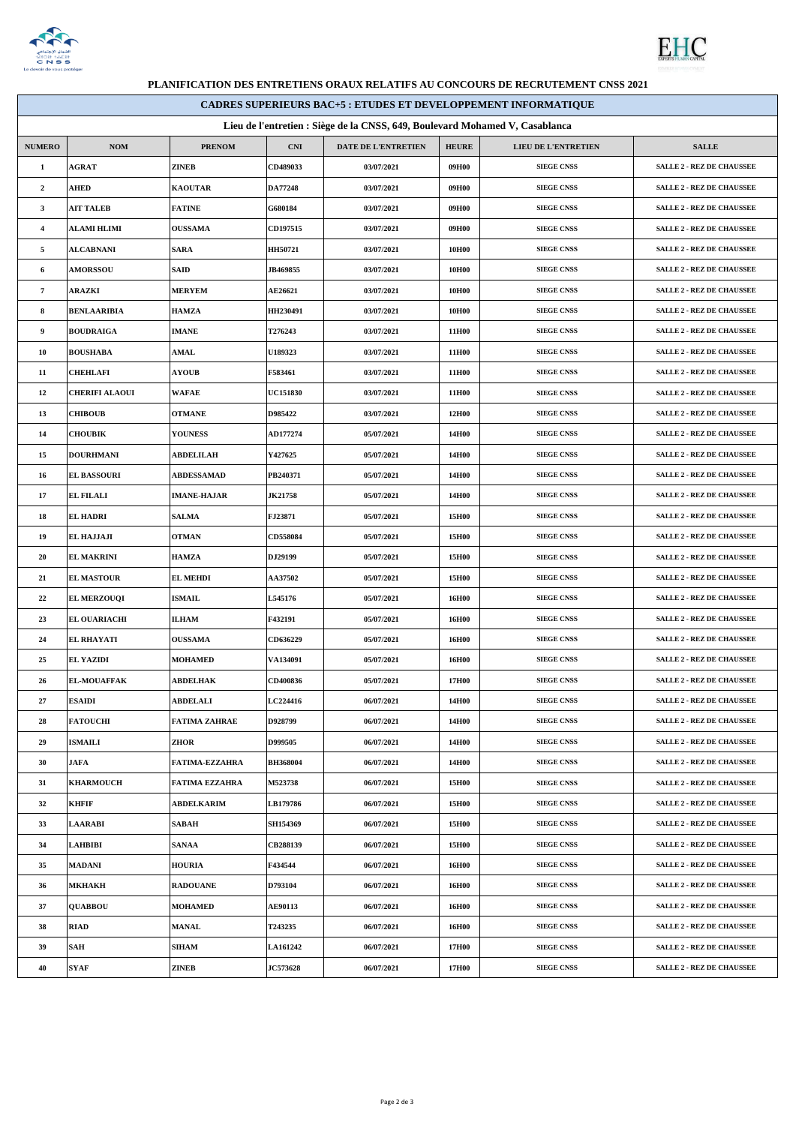

Г



## **PLANIFICATION DES ENTRETIENS ORAUX RELATIFS AU CONCOURS DE RECRUTEMENT CNSS 2021**

| <b>CADRES SUPERIEURS BAC+5 : ETUDES ET DEVELOPPEMENT INFORMATIQUE</b>        |                       |                       |                 |                     |              |                     |                                  |
|------------------------------------------------------------------------------|-----------------------|-----------------------|-----------------|---------------------|--------------|---------------------|----------------------------------|
| Lieu de l'entretien : Siège de la CNSS, 649, Boulevard Mohamed V, Casablanca |                       |                       |                 |                     |              |                     |                                  |
| <b>NUMERO</b>                                                                | <b>NOM</b>            | <b>PRENOM</b>         | <b>CNI</b>      | DATE DE L'ENTRETIEN | <b>HEURE</b> | LIEU DE L'ENTRETIEN | <b>SALLE</b>                     |
| $\mathbf{1}$                                                                 | <b>AGRAT</b>          | ZINEB                 | CD489033        | 03/07/2021          | 09H00        | <b>SIEGE CNSS</b>   | <b>SALLE 2 - REZ DE CHAUSSEE</b> |
| $\overline{2}$                                                               | <b>AHED</b>           | <b>KAOUTAR</b>        | DA77248         | 03/07/2021          | 09H00        | <b>SIEGE CNSS</b>   | <b>SALLE 2 - REZ DE CHAUSSEE</b> |
| $\mathbf{3}$                                                                 | AIT TALEB             | <b>FATINE</b>         | G680184         | 03/07/2021          | 09H00        | <b>SIEGE CNSS</b>   | <b>SALLE 2 - REZ DE CHAUSSEE</b> |
| $\overline{4}$                                                               | ALAMI HLIMI           | <b>OUSSAMA</b>        | CD197515        | 03/07/2021          | 09H00        | <b>SIEGE CNSS</b>   | <b>SALLE 2 - REZ DE CHAUSSEE</b> |
| $\sim$                                                                       | <b>ALCABNANI</b>      | <b>SARA</b>           | HH50721         | 03/07/2021          | 10H00        | <b>SIEGE CNSS</b>   | <b>SALLE 2 - REZ DE CHAUSSEE</b> |
| 6                                                                            | <b>AMORSSOU</b>       | SAID                  | <b>JB469855</b> | 03/07/2021          | 10H00        | <b>SIEGE CNSS</b>   | <b>SALLE 2 - REZ DE CHAUSSEE</b> |
| $\overline{7}$                                                               | ARAZKI                | <b>MERYEM</b>         | <b>AE26621</b>  | 03/07/2021          | 10H00        | <b>SIEGE CNSS</b>   | <b>SALLE 2 - REZ DE CHAUSSEE</b> |
| 8                                                                            | <b>BENLAARIBIA</b>    | <b>HAMZA</b>          | HH230491        | 03/07/2021          | 10H00        | <b>SIEGE CNSS</b>   | <b>SALLE 2 - REZ DE CHAUSSEE</b> |
| 9                                                                            | <b>BOUDRAIGA</b>      | <b>IMANE</b>          | T276243         | 03/07/2021          | 11H00        | <b>SIEGE CNSS</b>   | <b>SALLE 2 - REZ DE CHAUSSEE</b> |
| 10                                                                           | <b>BOUSHABA</b>       | <b>AMAL</b>           | <b>U189323</b>  | 03/07/2021          | 11H00        | <b>SIEGE CNSS</b>   | <b>SALLE 2 - REZ DE CHAUSSEE</b> |
| 11                                                                           | <b>CHEHLAFI</b>       | <b>AYOUB</b>          | F583461         | 03/07/2021          | 11H00        | <b>SIEGE CNSS</b>   | <b>SALLE 2 - REZ DE CHAUSSEE</b> |
| 12                                                                           | <b>CHERIFI ALAOUI</b> | WAFAE                 | <b>UC151830</b> | 03/07/2021          | 11H00        | <b>SIEGE CNSS</b>   | <b>SALLE 2 - REZ DE CHAUSSEE</b> |
| 13                                                                           | <b>CHIBOUB</b>        | <b>OTMANE</b>         | D985422         | 03/07/2021          | 12H00        | <b>SIEGE CNSS</b>   | <b>SALLE 2 - REZ DE CHAUSSEE</b> |
| 14                                                                           | <b>CHOUBIK</b>        | <b>YOUNESS</b>        | AD177274        | 05/07/2021          | 14H00        | <b>SIEGE CNSS</b>   | <b>SALLE 2 - REZ DE CHAUSSEE</b> |
| 15                                                                           | <b>DOURHMANI</b>      | <b>ABDELILAH</b>      | Y427625         | 05/07/2021          | 14H00        | <b>SIEGE CNSS</b>   | <b>SALLE 2 - REZ DE CHAUSSEE</b> |
| 16                                                                           | <b>EL BASSOURI</b>    | <b>ABDESSAMAD</b>     | PB240371        | 05/07/2021          | 14H00        | <b>SIEGE CNSS</b>   | <b>SALLE 2 - REZ DE CHAUSSEE</b> |
| 17                                                                           | <b>EL FILALI</b>      | <b>IMANE-HAJAR</b>    | <b>JK21758</b>  | 05/07/2021          | 14H00        | <b>SIEGE CNSS</b>   | <b>SALLE 2 - REZ DE CHAUSSEE</b> |
| 18                                                                           | <b>EL HADRI</b>       | <b>SALMA</b>          | FJ23871         | 05/07/2021          | 15H00        | <b>SIEGE CNSS</b>   | <b>SALLE 2 - REZ DE CHAUSSEE</b> |
| 19                                                                           | <b>EL HAJJAJI</b>     | <b>OTMAN</b>          | <b>CD558084</b> | 05/07/2021          | 15H00        | <b>SIEGE CNSS</b>   | <b>SALLE 2 - REZ DE CHAUSSEE</b> |
| 20                                                                           | <b>EL MAKRINI</b>     | <b>HAMZA</b>          | DJ29199         | 05/07/2021          | 15H00        | <b>SIEGE CNSS</b>   | <b>SALLE 2 - REZ DE CHAUSSEE</b> |
| 21                                                                           | <b>EL MASTOUR</b>     | <b>EL MEHDI</b>       | <b>AA37502</b>  | 05/07/2021          | 15H00        | <b>SIEGE CNSS</b>   | <b>SALLE 2 - REZ DE CHAUSSEE</b> |
| 22                                                                           | <b>EL MERZOUQI</b>    | <b>ISMAIL</b>         | L545176         | 05/07/2021          | 16H00        | <b>SIEGE CNSS</b>   | <b>SALLE 2 - REZ DE CHAUSSEE</b> |
| 23                                                                           | EL OUARIACHI          | <b>ILHAM</b>          | F432191         | 05/07/2021          | 16H00        | <b>SIEGE CNSS</b>   | <b>SALLE 2 - REZ DE CHAUSSEE</b> |
| 24                                                                           | EL RHAYATI            | <b>OUSSAMA</b>        | <b>CD636229</b> | 05/07/2021          | 16H00        | <b>SIEGE CNSS</b>   | <b>SALLE 2 - REZ DE CHAUSSEE</b> |
| 25                                                                           | <b>EL YAZIDI</b>      | <b>MOHAMED</b>        | <b>VA134091</b> | 05/07/2021          | 16H00        | <b>SIEGE CNSS</b>   | <b>SALLE 2 - REZ DE CHAUSSEE</b> |
| 26                                                                           | <b>EL-MOUAFFAK</b>    | <b>ABDELHAK</b>       | <b>CD400836</b> | 05/07/2021          | 17H00        | <b>SIEGE CNSS</b>   | <b>SALLE 2 - REZ DE CHAUSSEE</b> |
| 27                                                                           | <b>ESAIDI</b>         | <b>ABDELALI</b>       | <b>LC224416</b> | 06/07/2021          | 14H00        | <b>SIEGE CNSS</b>   | <b>SALLE 2 - REZ DE CHAUSSEE</b> |
| 28                                                                           | <b>FATOUCHI</b>       | FATIMA ZAHRAE         | D928799         | 06/07/2021          | 14H00        | <b>SIEGE CNSS</b>   | <b>SALLE 2 - REZ DE CHAUSSEE</b> |
| 29                                                                           | <b>ISMAILI</b>        | ZHOR                  | D999505         | 06/07/2021          | 14H00        | <b>SIEGE CNSS</b>   | <b>SALLE 2 - REZ DE CHAUSSEE</b> |
| 30                                                                           | <b>JAFA</b>           | <b>FATIMA-EZZAHRA</b> | BH368004        | 06/07/2021          | 14H00        | <b>SIEGE CNSS</b>   | <b>SALLE 2 - REZ DE CHAUSSEE</b> |
| 31                                                                           | <b>KHARMOUCH</b>      | <b>FATIMA EZZAHRA</b> | M523738         | 06/07/2021          | 15H00        | <b>SIEGE CNSS</b>   | <b>SALLE 2 - REZ DE CHAUSSEE</b> |
| 32                                                                           | KHFIF                 | <b>ABDELKARIM</b>     | LB179786        | 06/07/2021          | 15H00        | <b>SIEGE CNSS</b>   | <b>SALLE 2 - REZ DE CHAUSSEE</b> |
| 33                                                                           | <b>LAARABI</b>        | SABAH                 | <b>SH154369</b> | 06/07/2021          | 15H00        | <b>SIEGE CNSS</b>   | <b>SALLE 2 - REZ DE CHAUSSEE</b> |
| 34                                                                           | <b>LAHBIBI</b>        | SANAA                 | CB288139        | 06/07/2021          | 15H00        | <b>SIEGE CNSS</b>   | <b>SALLE 2 - REZ DE CHAUSSEE</b> |
| 35                                                                           | <b>MADANI</b>         | <b>HOURIA</b>         | F434544         | 06/07/2021          | 16H00        | <b>SIEGE CNSS</b>   | <b>SALLE 2 - REZ DE CHAUSSEE</b> |
| 36                                                                           | мкнакн                | <b>RADOUANE</b>       | D793104         | 06/07/2021          | 16H00        | <b>SIEGE CNSS</b>   | <b>SALLE 2 - REZ DE CHAUSSEE</b> |
| 37                                                                           | <b>QUABBOU</b>        | MOHAMED               | <b>AE90113</b>  | 06/07/2021          | <b>16H00</b> | <b>SIEGE CNSS</b>   | <b>SALLE 2 - REZ DE CHAUSSEE</b> |
| 38                                                                           | <b>RIAD</b>           | <b>MANAL</b>          | T243235         | 06/07/2021          | <b>16H00</b> | <b>SIEGE CNSS</b>   | <b>SALLE 2 - REZ DE CHAUSSEE</b> |
| 39                                                                           | SAH                   | <b>SIHAM</b>          | <b>LA161242</b> | 06/07/2021          | 17H00        | <b>SIEGE CNSS</b>   | <b>SALLE 2 - REZ DE CHAUSSEE</b> |
| 40                                                                           | <b>SYAF</b>           | ZINEB                 | <b>JC573628</b> | 06/07/2021          | 17H00        | <b>SIEGE CNSS</b>   | <b>SALLE 2 - REZ DE CHAUSSEE</b> |
|                                                                              |                       |                       |                 |                     |              |                     |                                  |